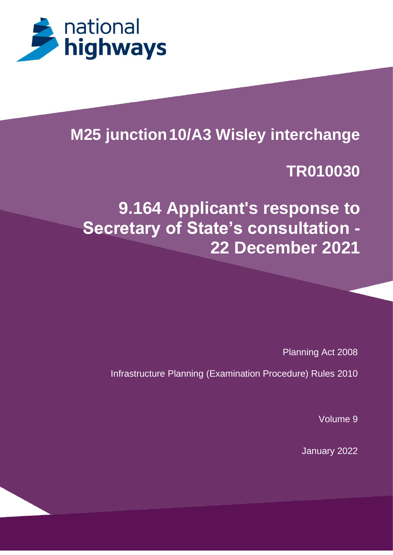

# **M25 junction10/A3 Wisley interchange**

**TR010030**

**9.164 Applicant's response to Secretary of State's consultation - 22 December 2021**

Planning Act 2008

Infrastructure Planning (Examination Procedure) Rules 2010

Volume 9

January 2022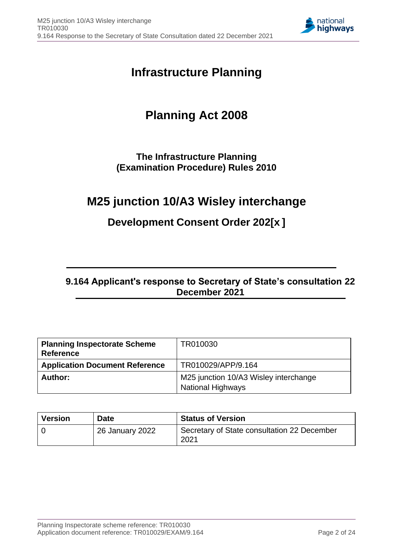

# **Infrastructure Planning**

# **Planning Act 2008**

### **The Infrastructure Planning (Examination Procedure) Rules 2010**

# **M25 junction 10/A3 Wisley interchange**

### **Development Consent Order 202[x ]**

### **9.164 Applicant's response to Secretary of State's consultation 22 December 2021**

| <b>Planning Inspectorate Scheme</b><br><b>Reference</b> | TR010030                                                          |
|---------------------------------------------------------|-------------------------------------------------------------------|
| <b>Application Document Reference</b>                   | TR010029/APP/9.164                                                |
| Author:                                                 | M25 junction 10/A3 Wisley interchange<br><b>National Highways</b> |

| <b>Version</b> | Date            | <b>Status of Version</b>                            |
|----------------|-----------------|-----------------------------------------------------|
|                | 26 January 2022 | Secretary of State consultation 22 December<br>2021 |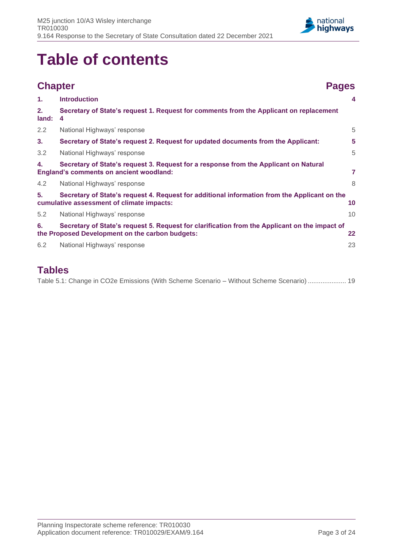

# **Table of contents**

|             | <b>Chapter</b>                                                                                                                                   | <b>Pages</b>            |
|-------------|--------------------------------------------------------------------------------------------------------------------------------------------------|-------------------------|
| 1.          | <b>Introduction</b>                                                                                                                              | $\overline{\mathbf{4}}$ |
| 2.<br>land: | Secretary of State's request 1. Request for comments from the Applicant on replacement<br>4                                                      |                         |
| 2.2         | National Highways' response                                                                                                                      | 5                       |
| 3.          | Secretary of State's request 2. Request for updated documents from the Applicant:                                                                | 5                       |
| 3.2         | National Highways' response                                                                                                                      | 5                       |
| 4.          | Secretary of State's request 3. Request for a response from the Applicant on Natural<br><b>England's comments on ancient woodland:</b>           | 7                       |
| 4.2         | National Highways' response                                                                                                                      | 8                       |
| 5.          | Secretary of State's request 4. Request for additional information from the Applicant on the<br>cumulative assessment of climate impacts:        | 10                      |
| 5.2         | National Highways' response                                                                                                                      | 10                      |
| 6.          | Secretary of State's request 5. Request for clarification from the Applicant on the impact of<br>the Proposed Development on the carbon budgets: | 22                      |
| 6.2         | National Highways' response                                                                                                                      | 23                      |

### **Tables**

[Table 5.1: Change in CO2e Emissions \(With Scheme Scenario –](#page-18-0) Without Scheme Scenario) ..................... 19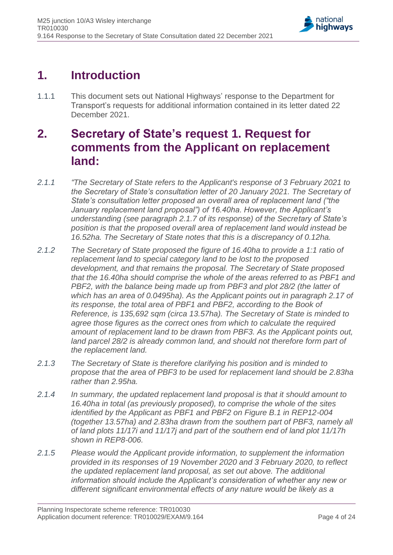

# <span id="page-3-0"></span>**1. Introduction**

1.1.1 This document sets out National Highways' response to the Department for Transport's requests for additional information contained in its letter dated 22 December 2021.

# <span id="page-3-1"></span>**2. Secretary of State's request 1. Request for comments from the Applicant on replacement land:**

- *2.1.1 "The Secretary of State refers to the Applicant's response of 3 February 2021 to the Secretary of State's consultation letter of 20 January 2021. The Secretary of State's consultation letter proposed an overall area of replacement land ("the January replacement land proposal") of 16.40ha. However, the Applicant's understanding (see paragraph 2.1.7 of its response) of the Secretary of State's position is that the proposed overall area of replacement land would instead be 16.52ha. The Secretary of State notes that this is a discrepancy of 0.12ha.*
- *2.1.2 The Secretary of State proposed the figure of 16.40ha to provide a 1:1 ratio of replacement land to special category land to be lost to the proposed development, and that remains the proposal. The Secretary of State proposed that the 16.40ha should comprise the whole of the areas referred to as PBF1 and PBF2, with the balance being made up from PBF3 and plot 28/2 (the latter of which has an area of 0.0495ha). As the Applicant points out in paragraph 2.17 of its response, the total area of PBF1 and PBF2, according to the Book of Reference, is 135,692 sqm (circa 13.57ha). The Secretary of State is minded to agree those figures as the correct ones from which to calculate the required amount of replacement land to be drawn from PBF3. As the Applicant points out, land parcel 28/2 is already common land, and should not therefore form part of the replacement land.*
- *2.1.3 The Secretary of State is therefore clarifying his position and is minded to propose that the area of PBF3 to be used for replacement land should be 2.83ha rather than 2.95ha.*
- *2.1.4 In summary, the updated replacement land proposal is that it should amount to 16.40ha in total (as previously proposed), to comprise the whole of the sites identified by the Applicant as PBF1 and PBF2 on Figure B.1 in REP12-004 (together 13.57ha) and 2.83ha drawn from the southern part of PBF3, namely all of land plots 11/17i and 11/17j and part of the southern end of land plot 11/17h shown in REP8-006.*
- *2.1.5 Please would the Applicant provide information, to supplement the information provided in its responses of 19 November 2020 and 3 February 2020, to reflect the updated replacement land proposal, as set out above. The additional information should include the Applicant's consideration of whether any new or different significant environmental effects of any nature would be likely as a*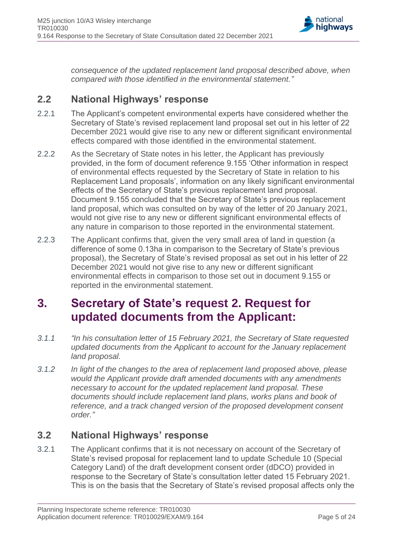

*consequence of the updated replacement land proposal described above, when compared with those identified in the environmental statement."*

### <span id="page-4-0"></span>**2.2 National Highways' response**

- 2.2.1 The Applicant's competent environmental experts have considered whether the Secretary of State's revised replacement land proposal set out in his letter of 22 December 2021 would give rise to any new or different significant environmental effects compared with those identified in the environmental statement.
- 2.2.2 As the Secretary of State notes in his letter, the Applicant has previously provided, in the form of document reference 9.155 'Other information in respect of environmental effects requested by the Secretary of State in relation to his Replacement Land proposals', information on any likely significant environmental effects of the Secretary of State's previous replacement land proposal. Document 9.155 concluded that the Secretary of State's previous replacement land proposal, which was consulted on by way of the letter of 20 January 2021, would not give rise to any new or different significant environmental effects of any nature in comparison to those reported in the environmental statement.
- 2.2.3 The Applicant confirms that, given the very small area of land in question (a difference of some 0.13ha in comparison to the Secretary of State's previous proposal), the Secretary of State's revised proposal as set out in his letter of 22 December 2021 would not give rise to any new or different significant environmental effects in comparison to those set out in document 9.155 or reported in the environmental statement.

# <span id="page-4-1"></span>**3. Secretary of State's request 2. Request for updated documents from the Applicant:**

- *3.1.1 "In his consultation letter of 15 February 2021, the Secretary of State requested updated documents from the Applicant to account for the January replacement land proposal.*
- *3.1.2 In light of the changes to the area of replacement land proposed above, please would the Applicant provide draft amended documents with any amendments necessary to account for the updated replacement land proposal. These documents should include replacement land plans, works plans and book of reference, and a track changed version of the proposed development consent order."*

### <span id="page-4-2"></span>**3.2 National Highways' response**

3.2.1 The Applicant confirms that it is not necessary on account of the Secretary of State's revised proposal for replacement land to update Schedule 10 (Special Category Land) of the draft development consent order (dDCO) provided in response to the Secretary of State's consultation letter dated 15 February 2021. This is on the basis that the Secretary of State's revised proposal affects only the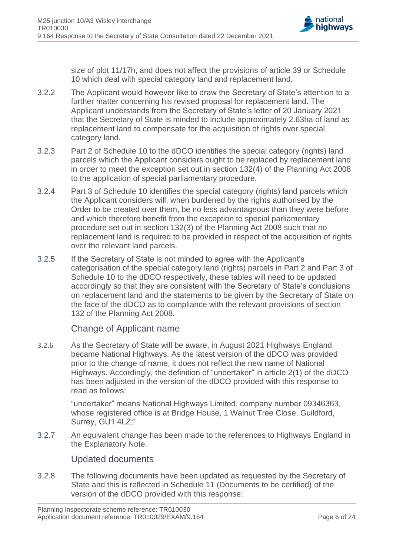

size of plot 11/17h, and does not affect the provisions of article 39 or Schedule 10 which deal with special category land and replacement land.

- 3.2.2 The Applicant would however like to draw the Secretary of State's attention to a further matter concerning his revised proposal for replacement land. The Applicant understands from the Secretary of State's letter of 20 January 2021 that the Secretary of State is minded to include approximately 2.63ha of land as replacement land to compensate for the acquisition of rights over special category land.
- 3.2.3 Part 2 of Schedule 10 to the dDCO identifies the special category (rights) land parcels which the Applicant considers ought to be replaced by replacement land in order to meet the exception set out in section 132(4) of the Planning Act 2008 to the application of special parliamentary procedure.
- 3.2.4 Part 3 of Schedule 10 identifies the special category (rights) land parcels which the Applicant considers will, when burdened by the rights authorised by the Order to be created over them, be no less advantageous than they were before and which therefore benefit from the exception to special parliamentary procedure set out in section 132(3) of the Planning Act 2008 such that no replacement land is required to be provided in respect of the acquisition of rights over the relevant land parcels.
- 3.2.5 If the Secretary of State is not minded to agree with the Applicant's categorisation of the special category land (rights) parcels in Part 2 and Part 3 of Schedule 10 to the dDCO respectively, these tables will need to be updated accordingly so that they are consistent with the Secretary of State's conclusions on replacement land and the statements to be given by the Secretary of State on the face of the dDCO as to compliance with the relevant provisions of section 132 of the Planning Act 2008.

#### Change of Applicant name

3.2.6 As the Secretary of State will be aware, in August 2021 Highways England became National Highways. As the latest version of the dDCO was provided prior to the change of name, it does not reflect the new name of National Highways. Accordingly, the definition of "undertaker" in article 2(1) of the dDCO has been adjusted in the version of the dDCO provided with this response to read as follows:

> "undertaker" means National Highways Limited, company number 09346363, whose registered office is at Bridge House, 1 Walnut Tree Close, Guildford, Surrey, GU1 4LZ;"

3.2.7 An equivalent change has been made to the references to Highways England in the Explanatory Note.

#### Updated documents

3.2.8 The following documents have been updated as requested by the Secretary of State and this is reflected in Schedule 11 (Documents to be certified) of the version of the dDCO provided with this response: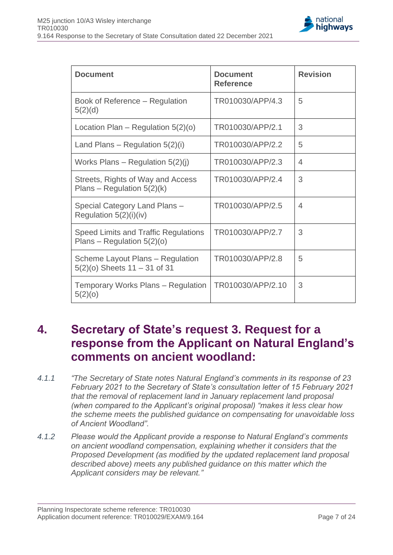

| <b>Document</b>                                                      | <b>Document</b><br><b>Reference</b> | <b>Revision</b> |
|----------------------------------------------------------------------|-------------------------------------|-----------------|
| Book of Reference – Regulation<br>5(2)(d)                            | TR010030/APP/4.3                    | 5               |
| Location Plan – Regulation $5(2)(o)$                                 | TR010030/APP/2.1                    | 3               |
| Land Plans – Regulation $5(2)(i)$                                    | TR010030/APP/2.2                    | 5               |
| Works Plans – Regulation $5(2)(i)$                                   | TR010030/APP/2.3                    | $\overline{4}$  |
| Streets, Rights of Way and Access<br>Plans – Regulation $5(2)(k)$    | TR010030/APP/2.4                    | 3               |
| Special Category Land Plans -<br>Regulation 5(2)(i)(iv)              | TR010030/APP/2.5                    | $\overline{4}$  |
| Speed Limits and Traffic Regulations<br>Plans – Regulation $5(2)(o)$ | TR010030/APP/2.7                    | 3               |
| Scheme Layout Plans - Regulation<br>$5(2)(o)$ Sheets 11 - 31 of 31   | TR010030/APP/2.8                    | 5               |
| Temporary Works Plans – Regulation<br>5(2)(o)                        | TR010030/APP/2.10                   | 3               |

## <span id="page-6-0"></span>**4. Secretary of State's request 3. Request for a response from the Applicant on Natural England's comments on ancient woodland:**

- *4.1.1 "The Secretary of State notes Natural England's comments in its response of 23 February 2021 to the Secretary of State's consultation letter of 15 February 2021 that the removal of replacement land in January replacement land proposal (when compared to the Applicant's original proposal) "makes it less clear how the scheme meets the published guidance on compensating for unavoidable loss of Ancient Woodland".*
- *4.1.2 Please would the Applicant provide a response to Natural England's comments on ancient woodland compensation, explaining whether it considers that the Proposed Development (as modified by the updated replacement land proposal described above) meets any published guidance on this matter which the Applicant considers may be relevant."*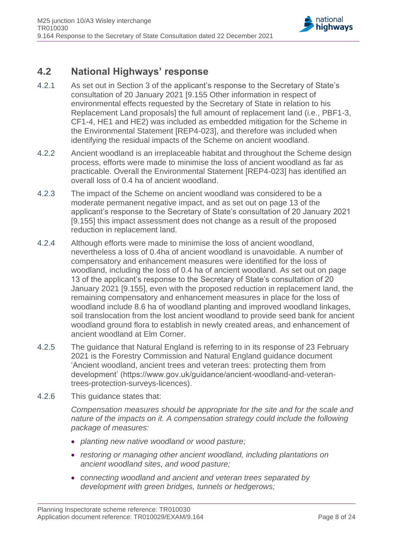

### <span id="page-7-0"></span>**4.2 National Highways' response**

- 4.2.1 As set out in Section 3 of the applicant's response to the Secretary of State's consultation of 20 January 2021 [9.155 Other information in respect of environmental effects requested by the Secretary of State in relation to his Replacement Land proposals] the full amount of replacement land (i.e., PBF1-3, CF1-4, HE1 and HE2) was included as embedded mitigation for the Scheme in the Environmental Statement [REP4-023], and therefore was included when identifying the residual impacts of the Scheme on ancient woodland.
- 4.2.2 Ancient woodland is an irreplaceable habitat and throughout the Scheme design process, efforts were made to minimise the loss of ancient woodland as far as practicable. Overall the Environmental Statement [REP4-023] has identified an overall loss of 0.4 ha of ancient woodland.
- 4.2.3 The impact of the Scheme on ancient woodland was considered to be a moderate permanent negative impact, and as set out on page 13 of the applicant's response to the Secretary of State's consultation of 20 January 2021 [9.155] this impact assessment does not change as a result of the proposed reduction in replacement land.
- 4.2.4 Although efforts were made to minimise the loss of ancient woodland, nevertheless a loss of 0.4ha of ancient woodland is unavoidable. A number of compensatory and enhancement measures were identified for the loss of woodland, including the loss of 0.4 ha of ancient woodland. As set out on page 13 of the applicant's response to the Secretary of State's consultation of 20 January 2021 [9.155], even with the proposed reduction in replacement land, the remaining compensatory and enhancement measures in place for the loss of woodland include 8.6 ha of woodland planting and improved woodland linkages, soil translocation from the lost ancient woodland to provide seed bank for ancient woodland ground flora to establish in newly created areas, and enhancement of ancient woodland at Elm Corner.
- 4.2.5 The guidance that Natural England is referring to in its response of 23 February 2021 is the Forestry Commission and Natural England guidance document 'Ancient woodland, ancient trees and veteran trees: protecting them from development' (https://www.gov.uk/guidance/ancient-woodland-and-veterantrees-protection-surveys-licences).
- 4.2.6 This guidance states that:

*Compensation measures should be appropriate for the site and for the scale and nature of the impacts on it. A compensation strategy could include the following package of measures:*

- *planting new native woodland or wood pasture;*
- *restoring or managing other ancient woodland, including plantations on ancient woodland sites, and wood pasture;*
- *connecting woodland and ancient and veteran trees separated by development with green bridges, tunnels or hedgerows;*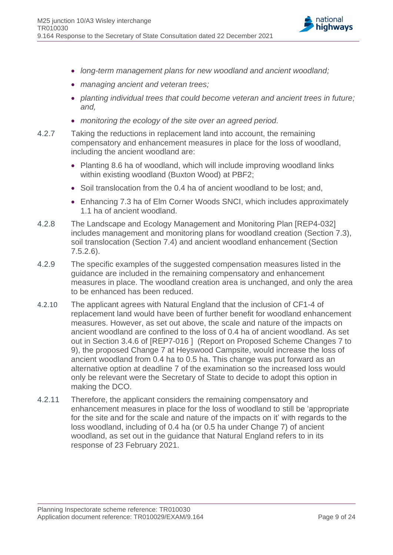

- *long-term management plans for new woodland and ancient woodland;*
- *managing ancient and veteran trees;*
- *planting individual trees that could become veteran and ancient trees in future; and,*
- *monitoring the ecology of the site over an agreed period.*
- 4.2.7 Taking the reductions in replacement land into account, the remaining compensatory and enhancement measures in place for the loss of woodland, including the ancient woodland are:
	- Planting 8.6 ha of woodland, which will include improving woodland links within existing woodland (Buxton Wood) at PBF2;
	- Soil translocation from the 0.4 ha of ancient woodland to be lost; and,
	- Enhancing 7.3 ha of Elm Corner Woods SNCI, which includes approximately 1.1 ha of ancient woodland.
- 4.2.8 The Landscape and Ecology Management and Monitoring Plan [REP4-032] includes management and monitoring plans for woodland creation (Section 7.3), soil translocation (Section 7.4) and ancient woodland enhancement (Section 7.5.2.6).
- 4.2.9 The specific examples of the suggested compensation measures listed in the guidance are included in the remaining compensatory and enhancement measures in place. The woodland creation area is unchanged, and only the area to be enhanced has been reduced.
- 4.2.10 The applicant agrees with Natural England that the inclusion of CF1-4 of replacement land would have been of further benefit for woodland enhancement measures. However, as set out above, the scale and nature of the impacts on ancient woodland are confined to the loss of 0.4 ha of ancient woodland. As set out in Section 3.4.6 of [REP7-016 ] (Report on Proposed Scheme Changes 7 to 9), the proposed Change 7 at Heyswood Campsite, would increase the loss of ancient woodland from 0.4 ha to 0.5 ha. This change was put forward as an alternative option at deadline 7 of the examination so the increased loss would only be relevant were the Secretary of State to decide to adopt this option in making the DCO.
- 4.2.11 Therefore, the applicant considers the remaining compensatory and enhancement measures in place for the loss of woodland to still be 'appropriate for the site and for the scale and nature of the impacts on it' with regards to the loss woodland, including of 0.4 ha (or 0.5 ha under Change 7) of ancient woodland, as set out in the guidance that Natural England refers to in its response of 23 February 2021.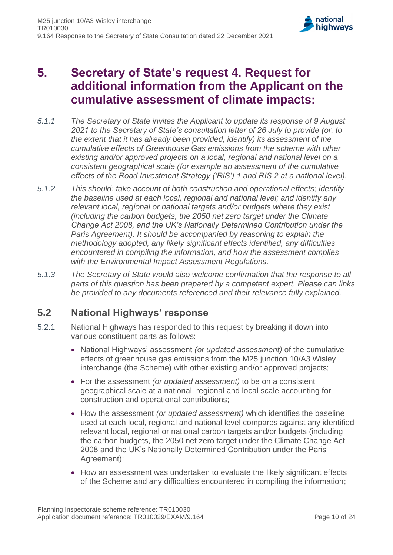

# <span id="page-9-0"></span>**5. Secretary of State's request 4. Request for additional information from the Applicant on the cumulative assessment of climate impacts:**

- *5.1.1 The Secretary of State invites the Applicant to update its response of 9 August 2021 to the Secretary of State's consultation letter of 26 July to provide (or, to the extent that it has already been provided, identify) its assessment of the cumulative effects of Greenhouse Gas emissions from the scheme with other existing and/or approved projects on a local, regional and national level on a consistent geographical scale (for example an assessment of the cumulative effects of the Road Investment Strategy ('RIS') 1 and RIS 2 at a national level).*
- *5.1.2 This should: take account of both construction and operational effects; identify the baseline used at each local, regional and national level; and identify any relevant local, regional or national targets and/or budgets where they exist (including the carbon budgets, the 2050 net zero target under the Climate Change Act 2008, and the UK's Nationally Determined Contribution under the Paris Agreement). It should be accompanied by reasoning to explain the methodology adopted, any likely significant effects identified, any difficulties encountered in compiling the information, and how the assessment complies with the Environmental Impact Assessment Regulations.*
- *5.1.3 The Secretary of State would also welcome confirmation that the response to all parts of this question has been prepared by a competent expert. Please can links be provided to any documents referenced and their relevance fully explained.*

### <span id="page-9-1"></span>**5.2 National Highways' response**

- 5.2.1 National Highways has responded to this request by breaking it down into various constituent parts as follows:
	- National Highways' assessment *(or updated assessment)* of the cumulative effects of greenhouse gas emissions from the M25 junction 10/A3 Wisley interchange (the Scheme) with other existing and/or approved projects;
	- For the assessment *(or updated assessment)* to be on a consistent geographical scale at a national, regional and local scale accounting for construction and operational contributions;
	- How the assessment *(or updated assessment)* which identifies the baseline used at each local, regional and national level compares against any identified relevant local, regional or national carbon targets and/or budgets (including the carbon budgets, the 2050 net zero target under the Climate Change Act 2008 and the UK's Nationally Determined Contribution under the Paris Agreement);
	- How an assessment was undertaken to evaluate the likely significant effects of the Scheme and any difficulties encountered in compiling the information;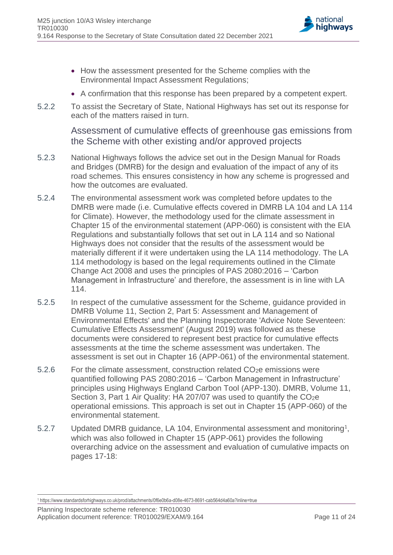

- How the assessment presented for the Scheme complies with the Environmental Impact Assessment Regulations;
- A confirmation that this response has been prepared by a competent expert.
- 5.2.2 To assist the Secretary of State, National Highways has set out its response for each of the matters raised in turn.

Assessment of cumulative effects of greenhouse gas emissions from the Scheme with other existing and/or approved projects

- 5.2.3 National Highways follows the advice set out in the Design Manual for Roads and Bridges (DMRB) for the design and evaluation of the impact of any of its road schemes. This ensures consistency in how any scheme is progressed and how the outcomes are evaluated.
- 5.2.4 The environmental assessment work was completed before updates to the DMRB were made (i.e. Cumulative effects covered in DMRB LA 104 and LA 114 for Climate). However, the methodology used for the climate assessment in Chapter 15 of the environmental statement (APP-060) is consistent with the EIA Regulations and substantially follows that set out in LA 114 and so National Highways does not consider that the results of the assessment would be materially different if it were undertaken using the LA 114 methodology. The LA 114 methodology is based on the legal requirements outlined in the Climate Change Act 2008 and uses the principles of PAS 2080:2016 – 'Carbon Management in Infrastructure' and therefore, the assessment is in line with LA 114.
- 5.2.5 In respect of the cumulative assessment for the Scheme, guidance provided in DMRB Volume 11, Section 2, Part 5: Assessment and Management of Environmental Effects' and the Planning Inspectorate 'Advice Note Seventeen: Cumulative Effects Assessment' (August 2019) was followed as these documents were considered to represent best practice for cumulative effects assessments at the time the scheme assessment was undertaken. The assessment is set out in Chapter 16 (APP-061) of the environmental statement.
- 5.2.6 For the climate assessment, construction related CO<sub>2</sub>e emissions were quantified following PAS 2080:2016 – 'Carbon Management in Infrastructure' principles using Highways England Carbon Tool (APP-130). DMRB, Volume 11, Section 3, Part 1 Air Quality: HA 207/07 was used to quantify the CO<sub>2</sub>e operational emissions. This approach is set out in Chapter 15 (APP-060) of the environmental statement.
- 5.2.7 Updated DMRB guidance, LA 104, Environmental assessment and monitoring<sup>1</sup>, which was also followed in Chapter 15 (APP-061) provides the following overarching advice on the assessment and evaluation of cumulative impacts on pages 17-18:

Planning Inspectorate scheme reference: TR010030 Application document reference: TR010029/EXAM/9.164 Page 11 of 24

<sup>1</sup> https://www.standardsforhighways.co.uk/prod/attachments/0f6e0b6a-d08e-4673-8691-cab564d4a60a?inline=true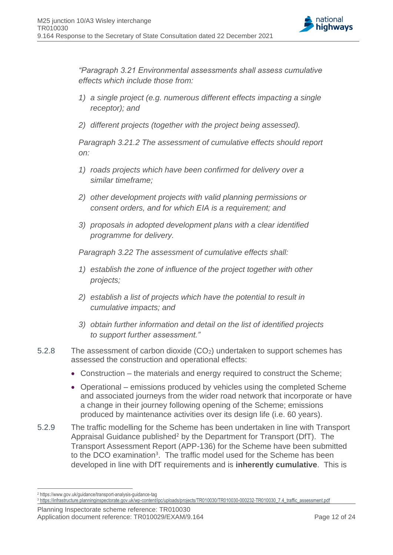

*"Paragraph 3.21 Environmental assessments shall assess cumulative effects which include those from:*

- *1) a single project (e.g. numerous different effects impacting a single receptor); and*
- *2) different projects (together with the project being assessed).*

*Paragraph 3.21.2 The assessment of cumulative effects should report on:*

- *1) roads projects which have been confirmed for delivery over a similar timeframe;*
- *2) other development projects with valid planning permissions or consent orders, and for which EIA is a requirement; and*
- *3) proposals in adopted development plans with a clear identified programme for delivery.*

*Paragraph 3.22 The assessment of cumulative effects shall:*

- *1) establish the zone of influence of the project together with other projects;*
- *2) establish a list of projects which have the potential to result in cumulative impacts; and*
- *3) obtain further information and detail on the list of identified projects to support further assessment."*
- 5.2.8 The assessment of carbon dioxide (CO2) undertaken to support schemes has assessed the construction and operational effects:
	- Construction the materials and energy required to construct the Scheme;
	- Operational emissions produced by vehicles using the completed Scheme and associated journeys from the wider road network that incorporate or have a change in their journey following opening of the Scheme; emissions produced by maintenance activities over its design life (i.e. 60 years).
- 5.2.9 The traffic modelling for the Scheme has been undertaken in line with Transport Appraisal Guidance published<sup>2</sup> by the Department for Transport (DfT). The Transport Assessment Report (APP-136) for the Scheme have been submitted to the DCO examination<sup>3</sup>. The traffic model used for the Scheme has been developed in line with DfT requirements and is **inherently cumulative**. This is

<sup>2</sup> https://www.gov.uk/guidance/transport-analysis-guidance-tag

<sup>3</sup> [https://infrastructure.planninginspectorate.gov.uk/wp-content/ipc/uploads/projects/TR010030/TR010030-000232-TR010030\\_7.4\\_traffic\\_assessment.pdf](https://infrastructure.planninginspectorate.gov.uk/wp-content/ipc/uploads/projects/TR010030/TR010030-000232-TR010030_7.4_traffic_assessment.pdf)

Planning Inspectorate scheme reference: TR010030 Application document reference: TR010029/EXAM/9.164 Page 12 of 24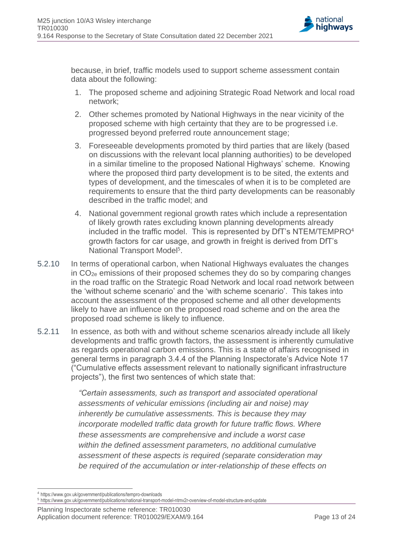

because, in brief, traffic models used to support scheme assessment contain data about the following:

- 1. The proposed scheme and adjoining Strategic Road Network and local road network;
- 2. Other schemes promoted by National Highways in the near vicinity of the proposed scheme with high certainty that they are to be progressed i.e. progressed beyond preferred route announcement stage;
- 3. Foreseeable developments promoted by third parties that are likely (based on discussions with the relevant local planning authorities) to be developed in a similar timeline to the proposed National Highways' scheme. Knowing where the proposed third party development is to be sited, the extents and types of development, and the timescales of when it is to be completed are requirements to ensure that the third party developments can be reasonably described in the traffic model; and
- 4. National government regional growth rates which include a representation of likely growth rates excluding known planning developments already included in the traffic model. This is represented by DfT's NTEM/TEMPRO<sup>4</sup> growth factors for car usage, and growth in freight is derived from DfT's National Transport Model<sup>5</sup>.
- 5.2.10 In terms of operational carbon, when National Highways evaluates the changes in CO2e emissions of their proposed schemes they do so by comparing changes in the road traffic on the Strategic Road Network and local road network between the 'without scheme scenario' and the 'with scheme scenario'. This takes into account the assessment of the proposed scheme and all other developments likely to have an influence on the proposed road scheme and on the area the proposed road scheme is likely to influence.
- 5.2.11 In essence, as both with and without scheme scenarios already include all likely developments and traffic growth factors, the assessment is inherently cumulative as regards operational carbon emissions. This is a state of affairs recognised in general terms in paragraph 3.4.4 of the Planning Inspectorate's Advice Note 17 ("Cumulative effects assessment relevant to nationally significant infrastructure projects"), the first two sentences of which state that:

*"Certain assessments, such as transport and associated operational assessments of vehicular emissions (including air and noise) may inherently be cumulative assessments. This is because they may incorporate modelled traffic data growth for future traffic flows. Where these assessments are comprehensive and include a worst case within the defined assessment parameters, no additional cumulative assessment of these aspects is required (separate consideration may be required of the accumulation or inter-relationship of these effects on* 

<sup>4</sup> https://www.gov.uk/government/publications/tempro-downloads

<sup>5</sup> https://www.gov.uk/government/publications/national-transport-model-ntmv2r-overview-of-model-structure-and-update

Planning Inspectorate scheme reference: TR010030 Application document reference: TR010029/EXAM/9.164 Page 13 of 24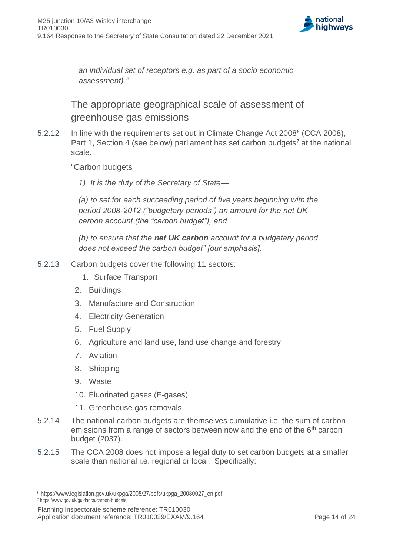

*an individual set of receptors e.g. as part of a socio economic assessment)."*

The appropriate geographical scale of assessment of greenhouse gas emissions

5.2.12 In line with the requirements set out in Climate Change Act 2008<sup>6</sup> (CCA 2008), Part 1, Section 4 (see below) parliament has set carbon budgets<sup>7</sup> at the national scale.

#### "Carbon budgets

*1) It is the duty of the Secretary of State—*

*(a) to set for each succeeding period of five years beginning with the period 2008-2012 ("budgetary periods") an amount for the net UK carbon account (the "carbon budget"), and*

*(b) to ensure that the net UK carbon account for a budgetary period does not exceed the carbon budget" [our emphasis].*

- 5.2.13 Carbon budgets cover the following 11 sectors:
	- 1. Surface Transport
	- 2. Buildings
	- 3. Manufacture and Construction
	- 4. Electricity Generation
	- 5. Fuel Supply
	- 6. Agriculture and land use, land use change and forestry
	- 7. Aviation
	- 8. Shipping
	- 9. Waste
	- 10. Fluorinated gases (F-gases)
	- 11. Greenhouse gas removals
- 5.2.14 The national carbon budgets are themselves cumulative i.e. the sum of carbon emissions from a range of sectors between now and the end of the 6<sup>th</sup> carbon budget (2037).
- 5.2.15 The CCA 2008 does not impose a legal duty to set carbon budgets at a smaller scale than national i.e. regional or local. Specifically:

<sup>6</sup> https://www.legislation.gov.uk/ukpga/2008/27/pdfs/ukpga\_20080027\_en.pdf

<sup>7</sup> https://www.gov.uk/guidance/carbon-budgets

Planning Inspectorate scheme reference: TR010030 Application document reference: TR010029/EXAM/9.164 Page 14 of 24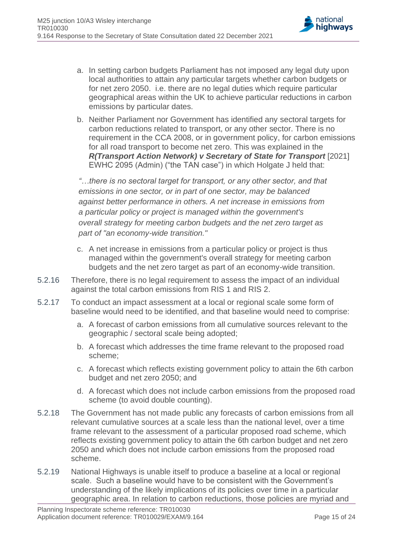

- a. In setting carbon budgets Parliament has not imposed any legal duty upon local authorities to attain any particular targets whether carbon budgets or for net zero 2050. i.e. there are no legal duties which require particular geographical areas within the UK to achieve particular reductions in carbon emissions by particular dates.
- b. Neither Parliament nor Government has identified any sectoral targets for carbon reductions related to transport, or any other sector. There is no requirement in the CCA 2008, or in government policy, for carbon emissions for all road transport to become net zero. This was explained in the *R(Transport Action Network) v Secretary of State for Transport* [2021] EWHC 2095 (Admin) ("the TAN case") in which Holgate J held that:

*"…there is no sectoral target for transport, or any other sector, and that emissions in one sector, or in part of one sector, may be balanced against better performance in others. A net increase in emissions from a particular policy or project is managed within the government's overall strategy for meeting carbon budgets and the net zero target as part of "an economy-wide transition."*

- c. A net increase in emissions from a particular policy or project is thus managed within the government's overall strategy for meeting carbon budgets and the net zero target as part of an economy-wide transition.
- 5.2.16 Therefore, there is no legal requirement to assess the impact of an individual against the total carbon emissions from RIS 1 and RIS 2.
- 5.2.17 To conduct an impact assessment at a local or regional scale some form of baseline would need to be identified, and that baseline would need to comprise:
	- a. A forecast of carbon emissions from all cumulative sources relevant to the geographic / sectoral scale being adopted;
	- b. A forecast which addresses the time frame relevant to the proposed road scheme;
	- c. A forecast which reflects existing government policy to attain the 6th carbon budget and net zero 2050; and
	- d. A forecast which does not include carbon emissions from the proposed road scheme (to avoid double counting).
- 5.2.18 The Government has not made public any forecasts of carbon emissions from all relevant cumulative sources at a scale less than the national level, over a time frame relevant to the assessment of a particular proposed road scheme, which reflects existing government policy to attain the 6th carbon budget and net zero 2050 and which does not include carbon emissions from the proposed road scheme.
- 5.2.19 National Highways is unable itself to produce a baseline at a local or regional scale. Such a baseline would have to be consistent with the Government's understanding of the likely implications of its policies over time in a particular geographic area. In relation to carbon reductions, those policies are myriad and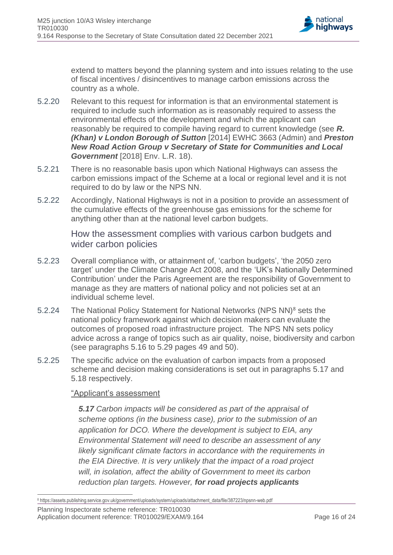

extend to matters beyond the planning system and into issues relating to the use of fiscal incentives / disincentives to manage carbon emissions across the country as a whole.

- 5.2.20 Relevant to this request for information is that an environmental statement is required to include such information as is reasonably required to assess the environmental effects of the development and which the applicant can reasonably be required to compile having regard to current knowledge (see *[R.](https://uk.practicallaw.thomsonreuters.com/Link/Document/FullText?findType=Y&serNum=2034718241&pubNum=6821&originatingDoc=ID3C900D0038511E9A3FD959F5674FEF3&refType=UC&originationContext=document&transitionType=CommentaryUKLink&ppcid=f1b6a2c360f244afa32adfc4029d3b5a&contextData=(sc.Search)&comp=books)  [\(Khan\) v London Borough of Sutton](https://uk.practicallaw.thomsonreuters.com/Link/Document/FullText?findType=Y&serNum=2034718241&pubNum=6821&originatingDoc=ID3C900D0038511E9A3FD959F5674FEF3&refType=UC&originationContext=document&transitionType=CommentaryUKLink&ppcid=f1b6a2c360f244afa32adfc4029d3b5a&contextData=(sc.Search)&comp=books)* [2014] EWHC 3663 (Admin) and *[Preston](https://uk.practicallaw.thomsonreuters.com/Link/Document/FullText?findType=Y&serNum=2043603709&pubNum=6448&originatingDoc=ID3C900D0038511E9A3FD959F5674FEF3&refType=UC&originationContext=document&transitionType=CommentaryUKLink&ppcid=f1b6a2c360f244afa32adfc4029d3b5a&contextData=(sc.Search))  [New Road Action Group v Secretary of State for Communities and Local](https://uk.practicallaw.thomsonreuters.com/Link/Document/FullText?findType=Y&serNum=2043603709&pubNum=6448&originatingDoc=ID3C900D0038511E9A3FD959F5674FEF3&refType=UC&originationContext=document&transitionType=CommentaryUKLink&ppcid=f1b6a2c360f244afa32adfc4029d3b5a&contextData=(sc.Search))  Government* [\[2018\] Env. L.R. 18\)](https://uk.practicallaw.thomsonreuters.com/Link/Document/FullText?findType=Y&serNum=2043603709&pubNum=6448&originatingDoc=ID3C900D0038511E9A3FD959F5674FEF3&refType=UC&originationContext=document&transitionType=CommentaryUKLink&ppcid=f1b6a2c360f244afa32adfc4029d3b5a&contextData=(sc.Search)).
- 5.2.21 There is no reasonable basis upon which National Highways can assess the carbon emissions impact of the Scheme at a local or regional level and it is not required to do by law or the NPS NN.
- 5.2.22 Accordingly, National Highways is not in a position to provide an assessment of the cumulative effects of the greenhouse gas emissions for the scheme for anything other than at the national level carbon budgets.

How the assessment complies with various carbon budgets and wider carbon policies

- 5.2.23 Overall compliance with, or attainment of, 'carbon budgets', 'the 2050 zero target' under the Climate Change Act 2008, and the 'UK's Nationally Determined Contribution' under the Paris Agreement are the responsibility of Government to manage as they are matters of national policy and not policies set at an individual scheme level.
- 5.2.24 The National Policy Statement for National Networks (NPS NN)<sup>8</sup> sets the national policy framework against which decision makers can evaluate the outcomes of proposed road infrastructure project. The NPS NN sets policy advice across a range of topics such as air quality, noise, biodiversity and carbon (see paragraphs 5.16 to 5.29 pages 49 and 50).
- 5.2.25 The specific advice on the evaluation of carbon impacts from a proposed scheme and decision making considerations is set out in paragraphs 5.17 and 5.18 respectively.

#### "Applicant's assessment

*5.17 Carbon impacts will be considered as part of the appraisal of scheme options (in the business case), prior to the submission of an application for DCO. Where the development is subject to EIA, any Environmental Statement will need to describe an assessment of any likely significant climate factors in accordance with the requirements in the EIA Directive. It is very unlikely that the impact of a road project will, in isolation, affect the ability of Government to meet its carbon reduction plan targets. However, for road projects applicants* 

Planning Inspectorate scheme reference: TR010030 Application document reference: TR010029/EXAM/9.164 Page 16 of 24

<sup>8</sup> https://assets.publishing.service.gov.uk/government/uploads/system/uploads/attachment\_data/file/387223/npsnn-web.pdf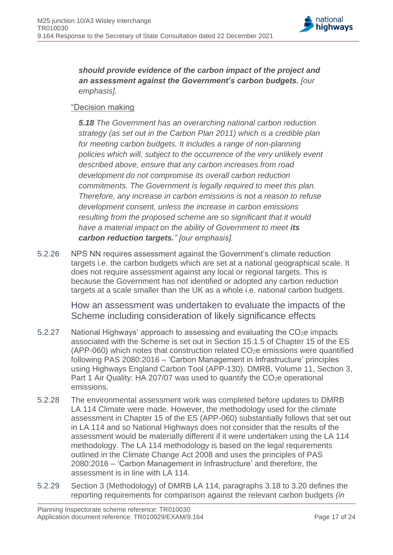

*should provide evidence of the carbon impact of the project and an assessment against the Government's carbon budgets. [our emphasis].*

#### "Decision making

*5.18 The Government has an overarching national carbon reduction strategy (as set out in the Carbon Plan 2011) which is a credible plan for meeting carbon budgets. It includes a range of non-planning policies which will, subject to the occurrence of the very unlikely event described above, ensure that any carbon increases from road development do not compromise its overall carbon reduction commitments. The Government is legally required to meet this plan. Therefore, any increase in carbon emissions is not a reason to refuse development consent, unless the increase in carbon emissions resulting from the proposed scheme are so significant that it would have a material impact on the ability of Government to meet its carbon reduction targets." [our emphasis].*

5.2.26 NPS NN requires assessment against the Government's climate reduction targets i.e. the carbon budgets which are set at a national geographical scale. It does not require assessment against any local or regional targets. This is because the Government has not identified or adopted any carbon reduction targets at a scale smaller than the UK as a whole i.e. national carbon budgets.

> How an assessment was undertaken to evaluate the impacts of the Scheme including consideration of likely significance effects

- 5.2.27 National Highways' approach to assessing and evaluating the  $CO<sub>2</sub>e$  impacts associated with the Scheme is set out in Section 15.1.5 of Chapter 15 of the ES (APP-060) which notes that construction related  $CO<sub>2</sub>e$  emissions were quantified following PAS 2080:2016 – 'Carbon Management in Infrastructure' principles using Highways England Carbon Tool (APP-130). DMRB, Volume 11, Section 3, Part 1 Air Quality: HA 207/07 was used to quantify the CO<sub>2</sub>e operational emissions.
- 5.2.28 The environmental assessment work was completed before updates to DMRB LA 114 Climate were made. However, the methodology used for the climate assessment in Chapter 15 of the ES (APP-060) substantially follows that set out in LA 114 and so National Highways does not consider that the results of the assessment would be materially different if it were undertaken using the LA 114 methodology. The LA 114 methodology is based on the legal requirements outlined in the Climate Change Act 2008 and uses the principles of PAS 2080:2016 – 'Carbon Management in Infrastructure' and therefore, the assessment is in line with  $\overline{A}$  114
- 5.2.29 Section 3 (Methodology) of DMRB LA 114, paragraphs 3.18 to 3.20 defines the reporting requirements for comparison against the relevant carbon budgets *(in*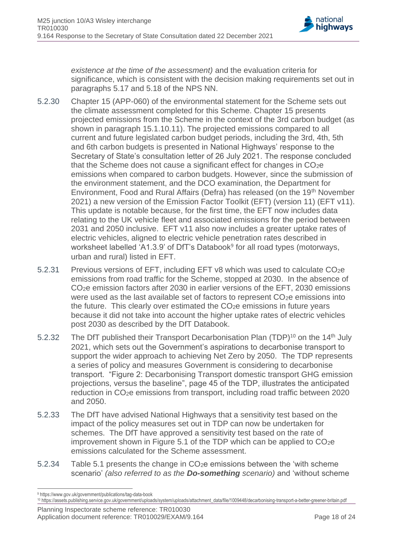

*existence at the time of the assessment)* and the evaluation criteria for significance, which is consistent with the decision making requirements set out in paragraphs 5.17 and 5.18 of the NPS NN.

- 5.2.30 Chapter 15 (APP-060) of the environmental statement for the Scheme sets out the climate assessment completed for this Scheme. Chapter 15 presents projected emissions from the Scheme in the context of the 3rd carbon budget (as shown in paragraph 15.1.10.11). The projected emissions compared to all current and future legislated carbon budget periods, including the 3rd, 4th, 5th and 6th carbon budgets is presented in National Highways' response to the Secretary of State's consultation letter of 26 July 2021. The response concluded that the Scheme does not cause a significant effect for changes in  $CO<sub>2</sub>e$ emissions when compared to carbon budgets. However, since the submission of the environment statement, and the DCO examination, the Department for Environment, Food and Rural Affairs (Defra) has released (on the 19<sup>th</sup> November 2021) a new version of the Emission Factor Toolkit (EFT) (version 11) (EFT v11). This update is notable because, for the first time, the EFT now includes data relating to the UK vehicle fleet and associated emissions for the period between 2031 and 2050 inclusive. EFT v11 also now includes a greater uptake rates of electric vehicles, aligned to electric vehicle penetration rates described in worksheet labelled 'A1.3.9' of DfT's Databook<sup>9</sup> for all road types (motorways, urban and rural) listed in EFT.
- 5.2.31 Previous versions of EFT, including EFT v8 which was used to calculate CO2e emissions from road traffic for the Scheme, stopped at 2030. In the absence of CO2e emission factors after 2030 in earlier versions of the EFT, 2030 emissions were used as the last available set of factors to represent CO<sub>2</sub>e emissions into the future. This clearly over estimated the CO<sub>2</sub>e emissions in future years because it did not take into account the higher uptake rates of electric vehicles post 2030 as described by the DfT Databook.
- 5.2.32 The DfT published their Transport Decarbonisation Plan (TDP)<sup>10</sup> on the 14<sup>th</sup> July 2021, which sets out the Government's aspirations to decarbonise transport to support the wider approach to achieving Net Zero by 2050. The TDP represents a series of policy and measures Government is considering to decarbonise transport. "Figure 2: Decarbonising Transport domestic transport GHG emission projections, versus the baseline", page 45 of the TDP, illustrates the anticipated reduction in CO2e emissions from transport, including road traffic between 2020 and 2050.
- 5.2.33 The DfT have advised National Highways that a sensitivity test based on the impact of the policy measures set out in TDP can now be undertaken for schemes. The DfT have approved a sensitivity test based on the rate of improvement shown in Figure 5.1 of the TDP which can be applied to CO2e emissions calculated for the Scheme assessment.
- 5.2.34 Table 5.1 presents the change in  $CO<sub>2</sub>e$  emissions between the 'with scheme scenario' *(also referred to as the Do-something scenario)* and 'without scheme

Planning Inspectorate scheme reference: TR010030 Application document reference: TR010029/EXAM/9.164 Page 18 of 24

<sup>9</sup> https://www.gov.uk/government/publications/tag-data-book

<sup>10</sup> https://assets.publishing.service.gov.uk/government/uploads/system/uploads/attachment\_data/file/1009448/decarbonising-transport-a-better-greener-britain.pdf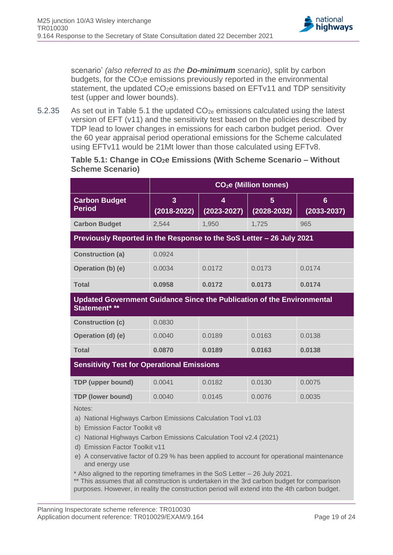

scenario' *(also referred to as the Do-minimum scenario)*, split by carbon budgets, for the CO2e emissions previously reported in the environmental statement, the updated CO<sub>2</sub>e emissions based on EFTv11 and TDP sensitivity test (upper and lower bounds).

5.2.35 As set out in Table 5.1 the updated  $CO_{2e}$  emissions calculated using the latest version of EFT (v11) and the sensitivity test based on the policies described by TDP lead to lower changes in emissions for each carbon budget period. Over the 60 year appraisal period operational emissions for the Scheme calculated using EFTv11 would be 21Mt lower than those calculated using EFTv8.

#### <span id="page-18-0"></span>**Table 5.1: Change in CO2e Emissions (With Scheme Scenario – Without Scheme Scenario)**

|                                                                                                                                                                                                                                                                                                                                                                                                                    | CO <sub>2</sub> e (Million tonnes) |                      |                      |                                    |  |  |
|--------------------------------------------------------------------------------------------------------------------------------------------------------------------------------------------------------------------------------------------------------------------------------------------------------------------------------------------------------------------------------------------------------------------|------------------------------------|----------------------|----------------------|------------------------------------|--|--|
| <b>Carbon Budget</b><br><b>Period</b>                                                                                                                                                                                                                                                                                                                                                                              | 3<br>$(2018 - 2022)$               | 4<br>$(2023 - 2027)$ | 5<br>$(2028 - 2032)$ | $6\phantom{1}6$<br>$(2033 - 2037)$ |  |  |
| <b>Carbon Budget</b>                                                                                                                                                                                                                                                                                                                                                                                               | 2,544                              | 1,950                | 1,725                | 965                                |  |  |
| Previously Reported in the Response to the SoS Letter - 26 July 2021                                                                                                                                                                                                                                                                                                                                               |                                    |                      |                      |                                    |  |  |
| <b>Construction (a)</b>                                                                                                                                                                                                                                                                                                                                                                                            | 0.0924                             |                      |                      |                                    |  |  |
| Operation (b) (e)                                                                                                                                                                                                                                                                                                                                                                                                  | 0.0034                             | 0.0172               | 0.0173               | 0.0174                             |  |  |
| <b>Total</b>                                                                                                                                                                                                                                                                                                                                                                                                       | 0.0958                             | 0.0172               | 0.0173               | 0.0174                             |  |  |
| <b>Updated Government Guidance Since the Publication of the Environmental</b><br>Statement* **                                                                                                                                                                                                                                                                                                                     |                                    |                      |                      |                                    |  |  |
| <b>Construction (c)</b>                                                                                                                                                                                                                                                                                                                                                                                            | 0.0830                             |                      |                      |                                    |  |  |
| Operation (d) (e)                                                                                                                                                                                                                                                                                                                                                                                                  | 0.0040                             | 0.0189               | 0.0163               | 0.0138                             |  |  |
| <b>Total</b>                                                                                                                                                                                                                                                                                                                                                                                                       | 0.0870                             | 0.0189               | 0.0163               | 0.0138                             |  |  |
| <b>Sensitivity Test for Operational Emissions</b>                                                                                                                                                                                                                                                                                                                                                                  |                                    |                      |                      |                                    |  |  |
| <b>TDP</b> (upper bound)                                                                                                                                                                                                                                                                                                                                                                                           | 0.0041                             | 0.0182               | 0.0130               | 0.0075                             |  |  |
| <b>TDP (lower bound)</b>                                                                                                                                                                                                                                                                                                                                                                                           | 0.0040                             | 0.0145               | 0.0076               | 0.0035                             |  |  |
| Notes:<br>a) National Highways Carbon Emissions Calculation Tool v1.03<br>b) Emission Factor Toolkit v8<br>National Highways Carbon Emissions Calculation Tool v2.4 (2021)<br>C)<br>d) Emission Factor Toolkit v11<br>e) A conservative factor of 0.29 % has been applied to account for operational maintenance<br>and energy use<br>* Also aligned to the reporting timeframes in the SoS Letter - 26 July 2021. |                                    |                      |                      |                                    |  |  |

This assumes that all construction is undertaken in the 3rd carbon budget for comparison purposes. However, in reality the construction period will extend into the 4th carbon budget.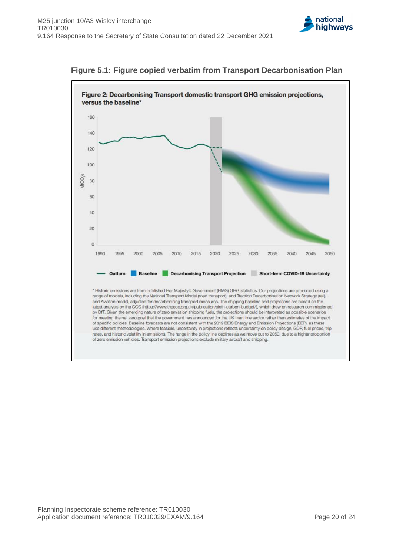



**Figure 5.1: Figure copied verbatim from Transport Decarbonisation Plan**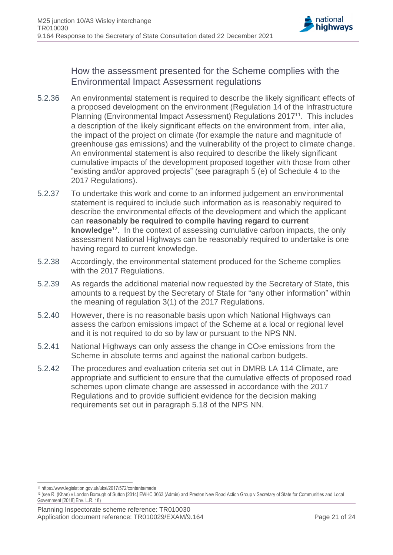

How the assessment presented for the Scheme complies with the Environmental Impact Assessment regulations

- 5.2.36 An environmental statement is required to describe the likely significant effects of a proposed development on the environment (Regulation 14 of the Infrastructure Planning (Environmental Impact Assessment) Regulations 2017<sup>11</sup>. This includes a description of the likely significant effects on the environment from, inter alia, the impact of the project on climate (for example the nature and magnitude of greenhouse gas emissions) and the vulnerability of the project to climate change. An environmental statement is also required to describe the likely significant cumulative impacts of the development proposed together with those from other "existing and/or approved projects" (see paragraph 5 (e) of Schedule 4 to the 2017 Regulations).
- 5.2.37 To undertake this work and come to an informed judgement an environmental statement is required to include such information as is reasonably required to describe the environmental effects of the development and which the applicant can **reasonably be required to compile having regard to current knowledge**<sup>12</sup>. In the context of assessing cumulative carbon impacts, the only assessment National Highways can be reasonably required to undertake is one having regard to current knowledge.
- 5.2.38 Accordingly, the environmental statement produced for the Scheme complies with the 2017 Regulations.
- 5.2.39 As regards the additional material now requested by the Secretary of State, this amounts to a request by the Secretary of State for "any other information" within the meaning of regulation 3(1) of the 2017 Regulations.
- 5.2.40 However, there is no reasonable basis upon which National Highways can assess the carbon emissions impact of the Scheme at a local or regional level and it is not required to do so by law or pursuant to the NPS NN.
- 5.2.41 National Highways can only assess the change in CO<sub>2</sub>e emissions from the Scheme in absolute terms and against the national carbon budgets.
- 5.2.42 The procedures and evaluation criteria set out in DMRB LA 114 Climate, are appropriate and sufficient to ensure that the cumulative effects of proposed road schemes upon climate change are assessed in accordance with the 2017 Regulations and to provide sufficient evidence for the decision making requirements set out in paragraph 5.18 of the NPS NN.

<sup>11</sup> https://www.legislation.gov.uk/uksi/2017/572/contents/made

<sup>12</sup> (see R. (Khan) v London Borough of Sutton [2014] EWHC 3663 (Admin) and Preston New Road Action Group v Secretary of State for Communities and Local Government [2018] Env. L.R. 18)

Planning Inspectorate scheme reference: TR010030 Application document reference: TR010029/EXAM/9.164 Page 21 of 24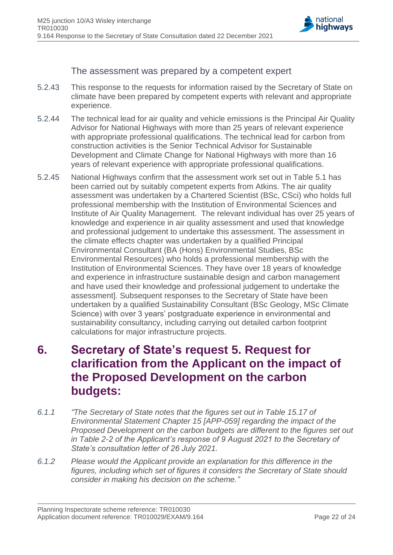

The assessment was prepared by a competent expert

- 5.2.43 This response to the requests for information raised by the Secretary of State on climate have been prepared by competent experts with relevant and appropriate experience.
- 5.2.44 The technical lead for air quality and vehicle emissions is the Principal Air Quality Advisor for National Highways with more than 25 years of relevant experience with appropriate professional qualifications. The technical lead for carbon from construction activities is the Senior Technical Advisor for Sustainable Development and Climate Change for National Highways with more than 16 years of relevant experience with appropriate professional qualifications.
- 5.2.45 National Highways confirm that the assessment work set out in Table 5.1 has been carried out by suitably competent experts from Atkins. The air quality assessment was undertaken by a Chartered Scientist (BSc, CSci) who holds full professional membership with the Institution of Environmental Sciences and Institute of Air Quality Management. The relevant individual has over 25 years of knowledge and experience in air quality assessment and used that knowledge and professional judgement to undertake this assessment. The assessment in the climate effects chapter was undertaken by a qualified Principal Environmental Consultant (BA (Hons) Environmental Studies, BSc Environmental Resources) who holds a professional membership with the Institution of Environmental Sciences. They have over 18 years of knowledge and experience in infrastructure sustainable design and carbon management and have used their knowledge and professional judgement to undertake the assessment]. Subsequent responses to the Secretary of State have been undertaken by a qualified Sustainability Consultant (BSc Geology, MSc Climate Science) with over 3 years' postgraduate experience in environmental and sustainability consultancy, including carrying out detailed carbon footprint calculations for major infrastructure projects.

# <span id="page-21-0"></span>**6. Secretary of State's request 5. Request for clarification from the Applicant on the impact of the Proposed Development on the carbon budgets:**

- *6.1.1 "The Secretary of State notes that the figures set out in Table 15.17 of Environmental Statement Chapter 15 [APP-059] regarding the impact of the Proposed Development on the carbon budgets are different to the figures set out in Table 2-2 of the Applicant's response of 9 August 2021 to the Secretary of State's consultation letter of 26 July 2021.*
- *6.1.2 Please would the Applicant provide an explanation for this difference in the figures, including which set of figures it considers the Secretary of State should consider in making his decision on the scheme."*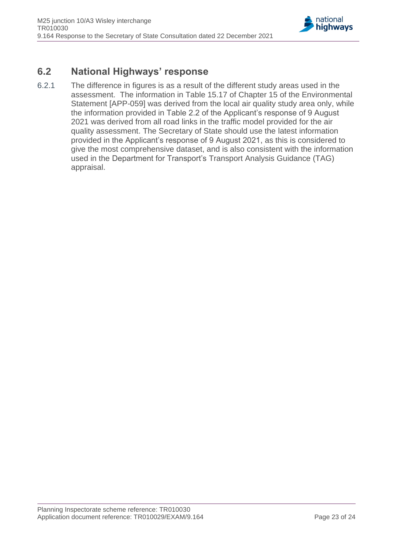

### <span id="page-22-0"></span>**6.2 National Highways' response**

6.2.1 The difference in figures is as a result of the different study areas used in the assessment. The information in Table 15.17 of Chapter 15 of the Environmental Statement [APP-059] was derived from the local air quality study area only, while the information provided in Table 2.2 of the Applicant's response of 9 August 2021 was derived from all road links in the traffic model provided for the air quality assessment. The Secretary of State should use the latest information provided in the Applicant's response of 9 August 2021, as this is considered to give the most comprehensive dataset, and is also consistent with the information used in the Department for Transport's Transport Analysis Guidance (TAG) appraisal.